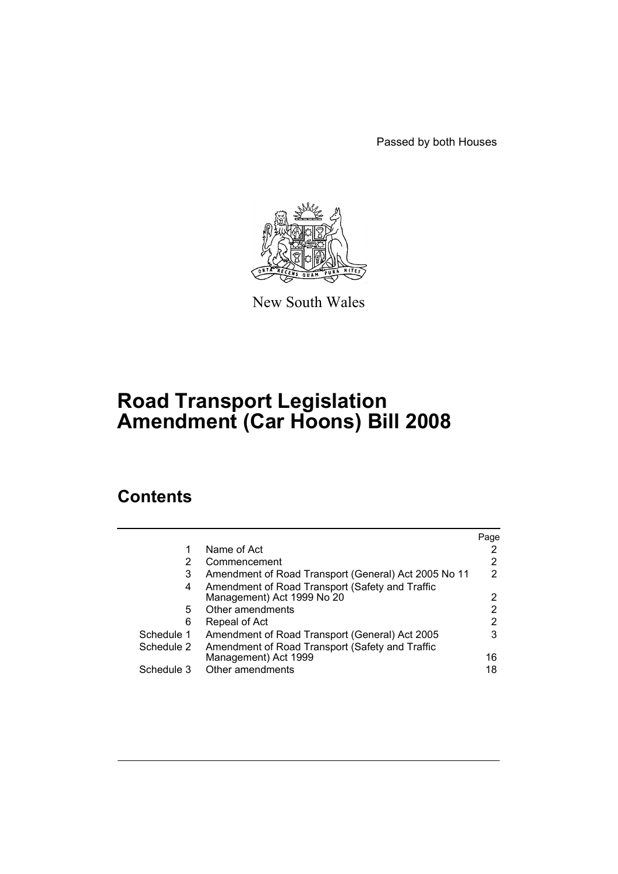Passed by both Houses



New South Wales

# **Road Transport Legislation Amendment (Car Hoons) Bill 2008**

# **Contents**

|            |                                                      | Page |
|------------|------------------------------------------------------|------|
| 1          | Name of Act                                          |      |
| 2          | Commencement                                         | 2    |
| 3          | Amendment of Road Transport (General) Act 2005 No 11 | 2    |
| 4          | Amendment of Road Transport (Safety and Traffic      |      |
|            | Management) Act 1999 No 20                           | 2    |
| 5          | Other amendments                                     | 2    |
| 6          | Repeal of Act                                        | 2    |
| Schedule 1 | Amendment of Road Transport (General) Act 2005       | 3    |
| Schedule 2 | Amendment of Road Transport (Safety and Traffic      |      |
|            | Management) Act 1999                                 | 16   |
| Schedule 3 | Other amendments                                     | 18   |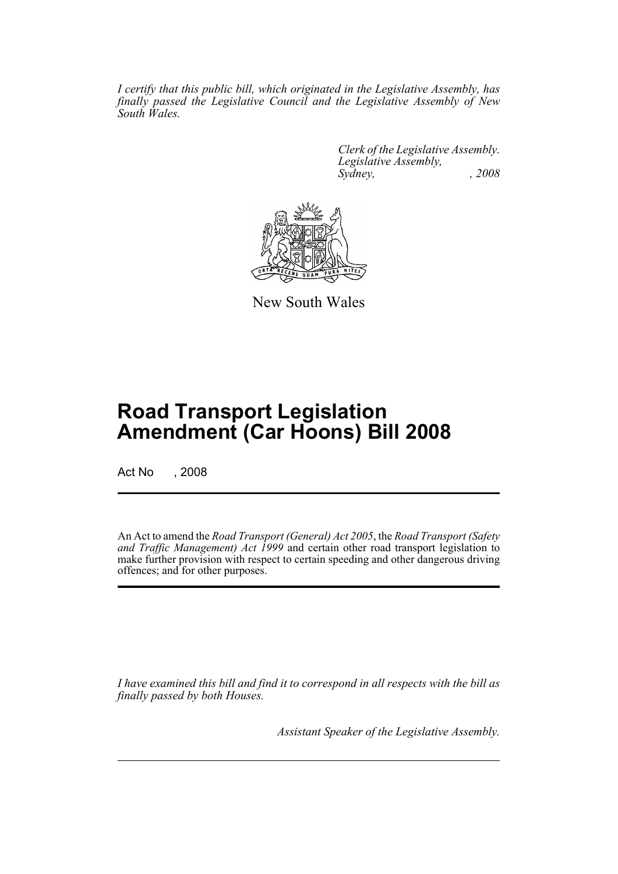*I certify that this public bill, which originated in the Legislative Assembly, has finally passed the Legislative Council and the Legislative Assembly of New South Wales.*

> *Clerk of the Legislative Assembly. Legislative Assembly, Sydney, , 2008*



New South Wales

# **Road Transport Legislation Amendment (Car Hoons) Bill 2008**

Act No , 2008

An Act to amend the *Road Transport (General) Act 2005*, the *Road Transport (Safety and Traffic Management) Act 1999* and certain other road transport legislation to make further provision with respect to certain speeding and other dangerous driving offences; and for other purposes.

*I have examined this bill and find it to correspond in all respects with the bill as finally passed by both Houses.*

*Assistant Speaker of the Legislative Assembly.*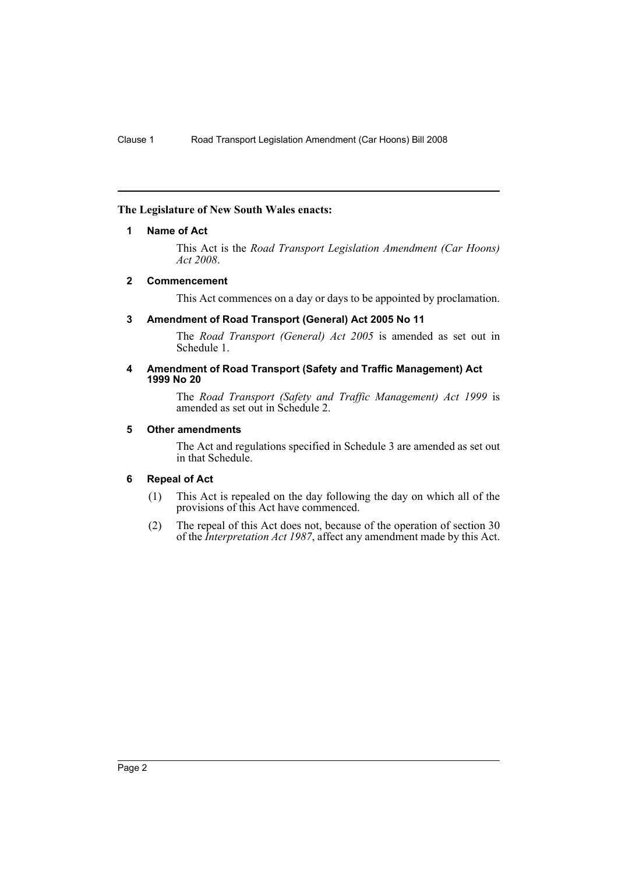# <span id="page-2-0"></span>**The Legislature of New South Wales enacts:**

# **1 Name of Act**

This Act is the *Road Transport Legislation Amendment (Car Hoons) Act 2008*.

# <span id="page-2-1"></span>**2 Commencement**

This Act commences on a day or days to be appointed by proclamation.

# <span id="page-2-2"></span>**3 Amendment of Road Transport (General) Act 2005 No 11**

The *Road Transport (General) Act 2005* is amended as set out in Schedule 1.

#### <span id="page-2-3"></span>**4 Amendment of Road Transport (Safety and Traffic Management) Act 1999 No 20**

The *Road Transport (Safety and Traffic Management) Act 1999* is amended as set out in Schedule 2.

# <span id="page-2-4"></span>**5 Other amendments**

The Act and regulations specified in Schedule 3 are amended as set out in that Schedule.

# <span id="page-2-5"></span>**6 Repeal of Act**

- (1) This Act is repealed on the day following the day on which all of the provisions of this Act have commenced.
- (2) The repeal of this Act does not, because of the operation of section 30 of the *Interpretation Act 1987*, affect any amendment made by this Act.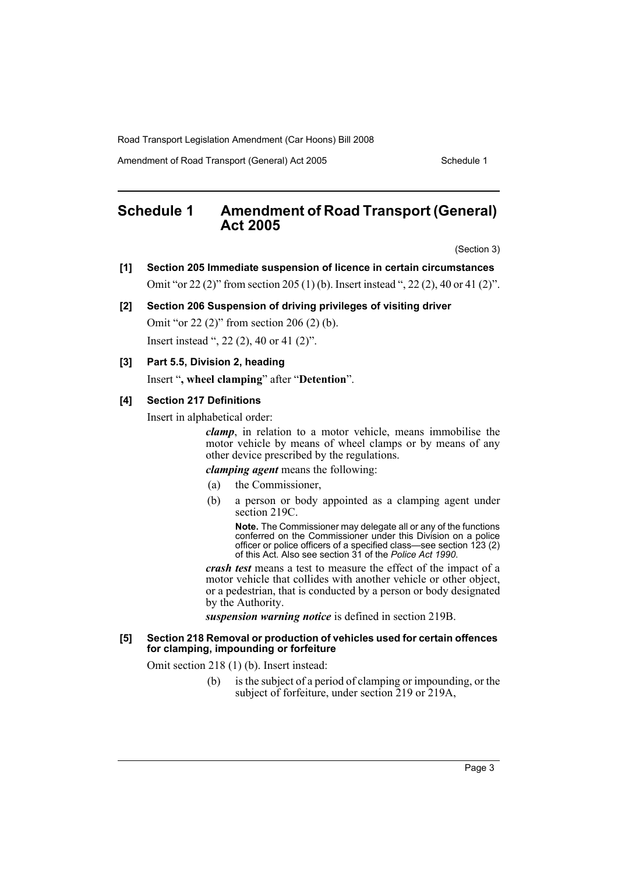Amendment of Road Transport (General) Act 2005 Schedule 1

# <span id="page-3-0"></span>**Schedule 1 Amendment of Road Transport (General) Act 2005**

(Section 3)

- **[1] Section 205 Immediate suspension of licence in certain circumstances** Omit "or 22 (2)" from section 205 (1) (b). Insert instead ", 22 (2), 40 or 41 (2)".
- **[2] Section 206 Suspension of driving privileges of visiting driver** Omit "or 22 (2)" from section 206 (2) (b). Insert instead ", 22 (2), 40 or 41 (2)".
- **[3] Part 5.5, Division 2, heading** Insert "**, wheel clamping**" after "**Detention**".

# **[4] Section 217 Definitions**

Insert in alphabetical order:

*clamp*, in relation to a motor vehicle, means immobilise the motor vehicle by means of wheel clamps or by means of any other device prescribed by the regulations.

# *clamping agent* means the following:

- (a) the Commissioner,
- (b) a person or body appointed as a clamping agent under section 219C.

**Note.** The Commissioner may delegate all or any of the functions conferred on the Commissioner under this Division on a police officer or police officers of a specified class—see section 123 (2) of this Act. Also see section 31 of the *Police Act 1990*.

*crash test* means a test to measure the effect of the impact of a motor vehicle that collides with another vehicle or other object, or a pedestrian, that is conducted by a person or body designated by the Authority.

*suspension warning notice* is defined in section 219B.

#### **[5] Section 218 Removal or production of vehicles used for certain offences for clamping, impounding or forfeiture**

Omit section 218 (1) (b). Insert instead:

(b) is the subject of a period of clamping or impounding, or the subject of forfeiture, under section 219 or 219A,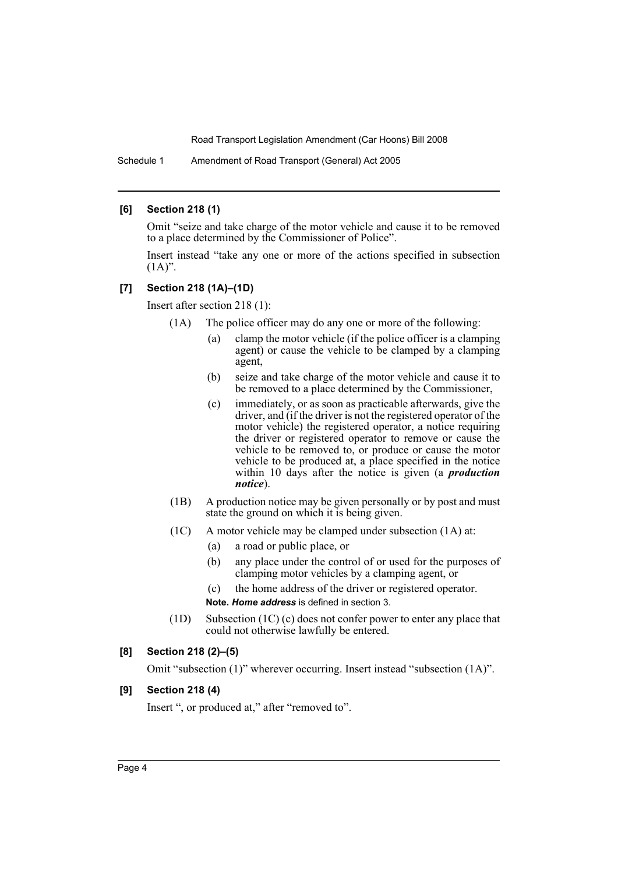Schedule 1 Amendment of Road Transport (General) Act 2005

# **[6] Section 218 (1)**

Omit "seize and take charge of the motor vehicle and cause it to be removed to a place determined by the Commissioner of Police".

Insert instead "take any one or more of the actions specified in subsection  $(1A)$ ".

# **[7] Section 218 (1A)–(1D)**

Insert after section 218 (1):

(1A) The police officer may do any one or more of the following:

- (a) clamp the motor vehicle (if the police officer is a clamping agent) or cause the vehicle to be clamped by a clamping agent,
- (b) seize and take charge of the motor vehicle and cause it to be removed to a place determined by the Commissioner,
- (c) immediately, or as soon as practicable afterwards, give the driver, and (if the driver is not the registered operator of the motor vehicle) the registered operator, a notice requiring the driver or registered operator to remove or cause the vehicle to be removed to, or produce or cause the motor vehicle to be produced at, a place specified in the notice within 10 days after the notice is given (a *production notice*).
- (1B) A production notice may be given personally or by post and must state the ground on which it is being given.
- (1C) A motor vehicle may be clamped under subsection (1A) at:
	- (a) a road or public place, or
	- (b) any place under the control of or used for the purposes of clamping motor vehicles by a clamping agent, or
	- (c) the home address of the driver or registered operator. **Note.** *Home address* is defined in section 3.
- (1D) Subsection (1C) (c) does not confer power to enter any place that could not otherwise lawfully be entered.

#### **[8] Section 218 (2)–(5)**

Omit "subsection (1)" wherever occurring. Insert instead "subsection (1A)".

# **[9] Section 218 (4)**

Insert ", or produced at," after "removed to".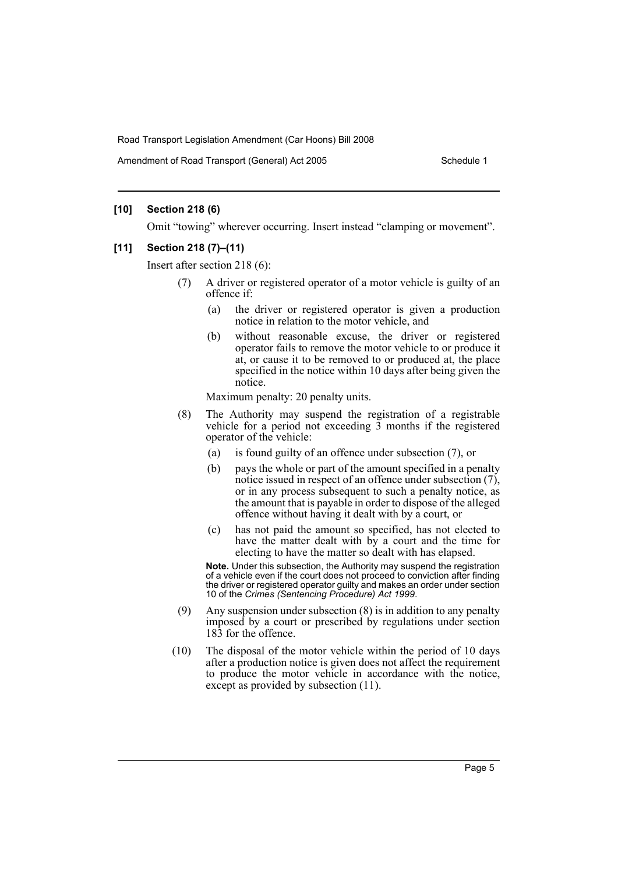Amendment of Road Transport (General) Act 2005 Schedule 1

# **[10] Section 218 (6)**

Omit "towing" wherever occurring. Insert instead "clamping or movement".

#### **[11] Section 218 (7)–(11)**

Insert after section 218 (6):

- (7) A driver or registered operator of a motor vehicle is guilty of an offence if:
	- (a) the driver or registered operator is given a production notice in relation to the motor vehicle, and
	- (b) without reasonable excuse, the driver or registered operator fails to remove the motor vehicle to or produce it at, or cause it to be removed to or produced at, the place specified in the notice within 10 days after being given the notice.

Maximum penalty: 20 penalty units.

- (8) The Authority may suspend the registration of a registrable vehicle for a period not exceeding  $\overline{3}$  months if the registered operator of the vehicle:
	- (a) is found guilty of an offence under subsection (7), or
	- (b) pays the whole or part of the amount specified in a penalty notice issued in respect of an offence under subsection (7), or in any process subsequent to such a penalty notice, as the amount that is payable in order to dispose of the alleged offence without having it dealt with by a court, or
	- (c) has not paid the amount so specified, has not elected to have the matter dealt with by a court and the time for electing to have the matter so dealt with has elapsed.

**Note.** Under this subsection, the Authority may suspend the registration of a vehicle even if the court does not proceed to conviction after finding the driver or registered operator guilty and makes an order under section 10 of the *Crimes (Sentencing Procedure) Act 1999*.

- (9) Any suspension under subsection (8) is in addition to any penalty imposed by a court or prescribed by regulations under section 183 for the offence.
- (10) The disposal of the motor vehicle within the period of 10 days after a production notice is given does not affect the requirement to produce the motor vehicle in accordance with the notice, except as provided by subsection (11).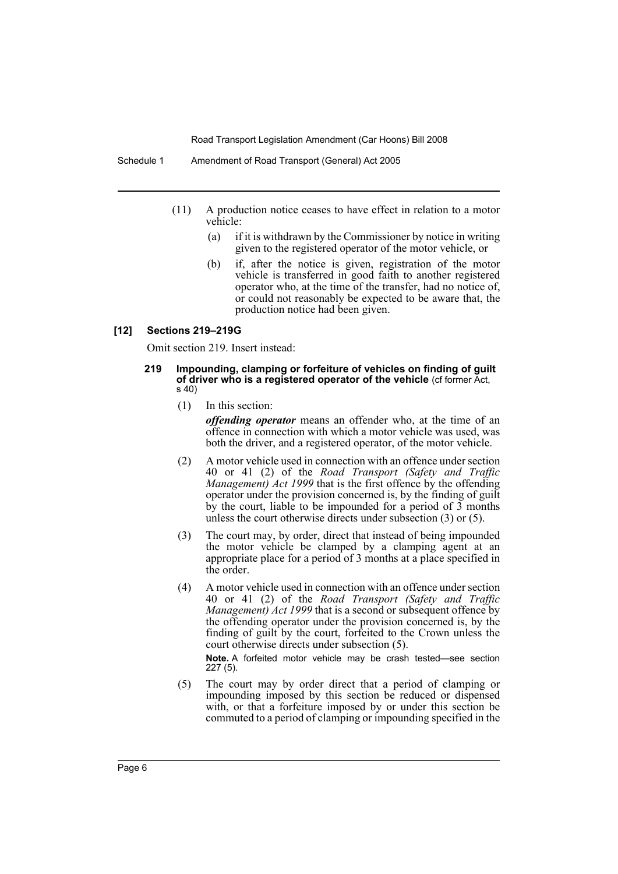- (11) A production notice ceases to have effect in relation to a motor vehicle:
	- (a) if it is withdrawn by the Commissioner by notice in writing given to the registered operator of the motor vehicle, or
	- (b) if, after the notice is given, registration of the motor vehicle is transferred in good faith to another registered operator who, at the time of the transfer, had no notice of, or could not reasonably be expected to be aware that, the production notice had been given.

#### **[12] Sections 219–219G**

Omit section 219. Insert instead:

#### **219 Impounding, clamping or forfeiture of vehicles on finding of guilt of driver who is a registered operator of the vehicle** (cf former Act, s 40)

(1) In this section:

*offending operator* means an offender who, at the time of an offence in connection with which a motor vehicle was used, was both the driver, and a registered operator, of the motor vehicle.

- (2) A motor vehicle used in connection with an offence under section 40 or 41 (2) of the *Road Transport (Safety and Traffic Management) Act 1999* that is the first offence by the offending operator under the provision concerned is, by the finding of guilt by the court, liable to be impounded for a period of 3 months unless the court otherwise directs under subsection (3) or (5).
- (3) The court may, by order, direct that instead of being impounded the motor vehicle be clamped by a clamping agent at an appropriate place for a period of 3 months at a place specified in the order.
- (4) A motor vehicle used in connection with an offence under section 40 or 41 (2) of the *Road Transport (Safety and Traffic Management) Act 1999* that is a second or subsequent offence by the offending operator under the provision concerned is, by the finding of guilt by the court, forfeited to the Crown unless the court otherwise directs under subsection (5).

**Note.** A forfeited motor vehicle may be crash tested—see section 227 (5).

(5) The court may by order direct that a period of clamping or impounding imposed by this section be reduced or dispensed with, or that a forfeiture imposed by or under this section be commuted to a period of clamping or impounding specified in the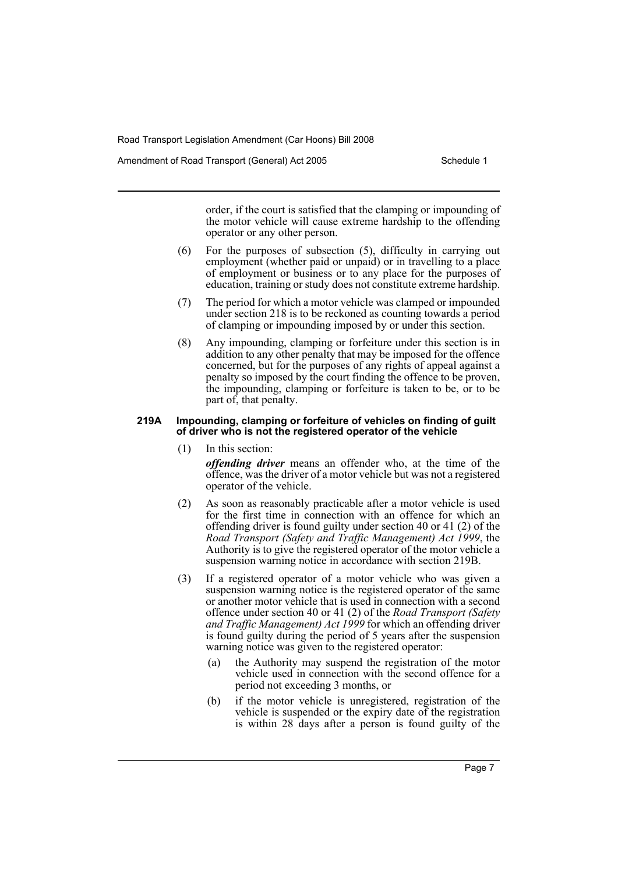Amendment of Road Transport (General) Act 2005 Schedule 1

order, if the court is satisfied that the clamping or impounding of the motor vehicle will cause extreme hardship to the offending operator or any other person.

- (6) For the purposes of subsection (5), difficulty in carrying out employment (whether paid or unpaid) or in travelling to a place of employment or business or to any place for the purposes of education, training or study does not constitute extreme hardship.
- (7) The period for which a motor vehicle was clamped or impounded under section 218 is to be reckoned as counting towards a period of clamping or impounding imposed by or under this section.
- (8) Any impounding, clamping or forfeiture under this section is in addition to any other penalty that may be imposed for the offence concerned, but for the purposes of any rights of appeal against a penalty so imposed by the court finding the offence to be proven, the impounding, clamping or forfeiture is taken to be, or to be part of, that penalty.

#### **219A Impounding, clamping or forfeiture of vehicles on finding of guilt of driver who is not the registered operator of the vehicle**

(1) In this section:

*offending driver* means an offender who, at the time of the offence, was the driver of a motor vehicle but was not a registered operator of the vehicle.

- (2) As soon as reasonably practicable after a motor vehicle is used for the first time in connection with an offence for which an offending driver is found guilty under section 40 or 41 (2) of the *Road Transport (Safety and Traffic Management) Act 1999*, the Authority is to give the registered operator of the motor vehicle a suspension warning notice in accordance with section 219B.
- (3) If a registered operator of a motor vehicle who was given a suspension warning notice is the registered operator of the same or another motor vehicle that is used in connection with a second offence under section 40 or 41 (2) of the *Road Transport (Safety and Traffic Management) Act 1999* for which an offending driver is found guilty during the period of 5 years after the suspension warning notice was given to the registered operator:
	- (a) the Authority may suspend the registration of the motor vehicle used in connection with the second offence for a period not exceeding 3 months, or
	- (b) if the motor vehicle is unregistered, registration of the vehicle is suspended or the expiry date of the registration is within 28 days after a person is found guilty of the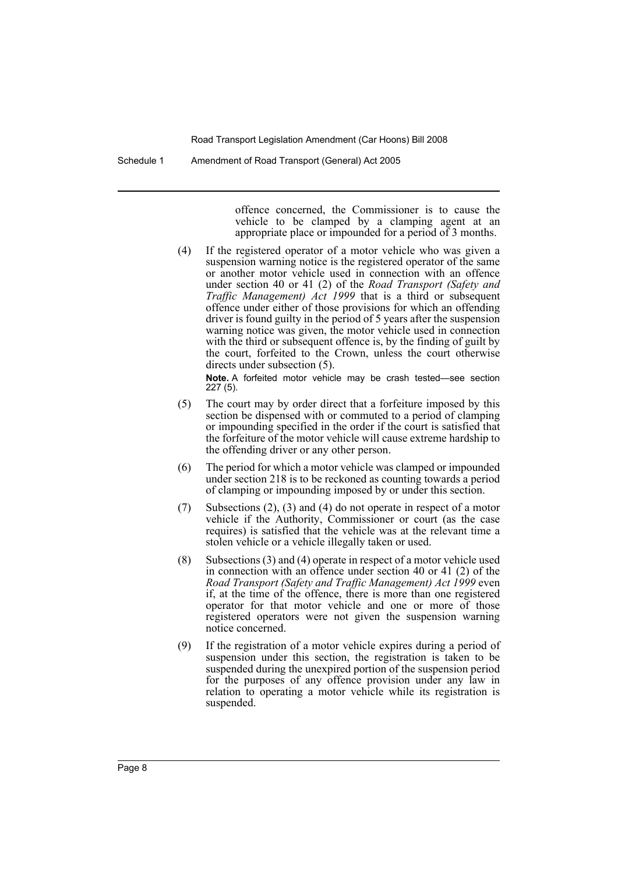Schedule 1 Amendment of Road Transport (General) Act 2005

offence concerned, the Commissioner is to cause the vehicle to be clamped by a clamping agent at an appropriate place or impounded for a period of 3 months.

(4) If the registered operator of a motor vehicle who was given a suspension warning notice is the registered operator of the same or another motor vehicle used in connection with an offence under section 40 or 41 (2) of the *Road Transport (Safety and Traffic Management) Act 1999* that is a third or subsequent offence under either of those provisions for which an offending driver is found guilty in the period of 5 years after the suspension warning notice was given, the motor vehicle used in connection with the third or subsequent offence is, by the finding of guilt by the court, forfeited to the Crown, unless the court otherwise directs under subsection (5).

**Note.** A forfeited motor vehicle may be crash tested—see section 227 (5).

- (5) The court may by order direct that a forfeiture imposed by this section be dispensed with or commuted to a period of clamping or impounding specified in the order if the court is satisfied that the forfeiture of the motor vehicle will cause extreme hardship to the offending driver or any other person.
- (6) The period for which a motor vehicle was clamped or impounded under section 218 is to be reckoned as counting towards a period of clamping or impounding imposed by or under this section.
- (7) Subsections (2), (3) and (4) do not operate in respect of a motor vehicle if the Authority, Commissioner or court (as the case requires) is satisfied that the vehicle was at the relevant time a stolen vehicle or a vehicle illegally taken or used.
- (8) Subsections (3) and (4) operate in respect of a motor vehicle used in connection with an offence under section 40 or 41 (2) of the *Road Transport (Safety and Traffic Management) Act 1999* even if, at the time of the offence, there is more than one registered operator for that motor vehicle and one or more of those registered operators were not given the suspension warning notice concerned.
- (9) If the registration of a motor vehicle expires during a period of suspension under this section, the registration is taken to be suspended during the unexpired portion of the suspension period for the purposes of any offence provision under any law in relation to operating a motor vehicle while its registration is suspended.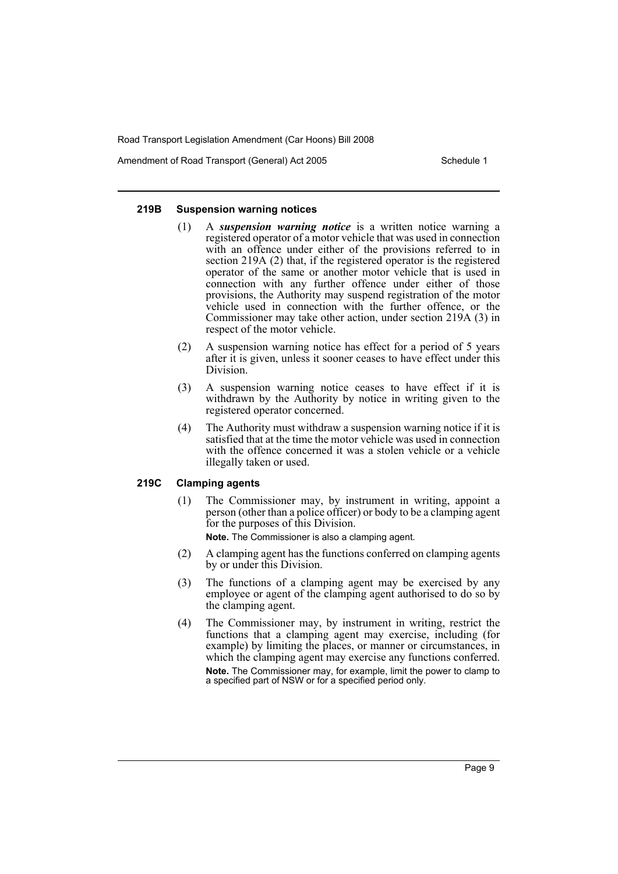Amendment of Road Transport (General) Act 2005 Schedule 1

#### **219B Suspension warning notices**

- (1) A *suspension warning notice* is a written notice warning a registered operator of a motor vehicle that was used in connection with an offence under either of the provisions referred to in section 219A (2) that, if the registered operator is the registered operator of the same or another motor vehicle that is used in connection with any further offence under either of those provisions, the Authority may suspend registration of the motor vehicle used in connection with the further offence, or the Commissioner may take other action, under section 219A (3) in respect of the motor vehicle.
- (2) A suspension warning notice has effect for a period of 5 years after it is given, unless it sooner ceases to have effect under this Division.
- (3) A suspension warning notice ceases to have effect if it is withdrawn by the Authority by notice in writing given to the registered operator concerned.
- (4) The Authority must withdraw a suspension warning notice if it is satisfied that at the time the motor vehicle was used in connection with the offence concerned it was a stolen vehicle or a vehicle illegally taken or used.

#### **219C Clamping agents**

(1) The Commissioner may, by instrument in writing, appoint a person (other than a police officer) or body to be a clamping agent for the purposes of this Division.

**Note.** The Commissioner is also a clamping agent.

- (2) A clamping agent has the functions conferred on clamping agents by or under this Division.
- (3) The functions of a clamping agent may be exercised by any employee or agent of the clamping agent authorised to do so by the clamping agent.
- (4) The Commissioner may, by instrument in writing, restrict the functions that a clamping agent may exercise, including (for example) by limiting the places, or manner or circumstances, in which the clamping agent may exercise any functions conferred. **Note.** The Commissioner may, for example, limit the power to clamp to a specified part of NSW or for a specified period only.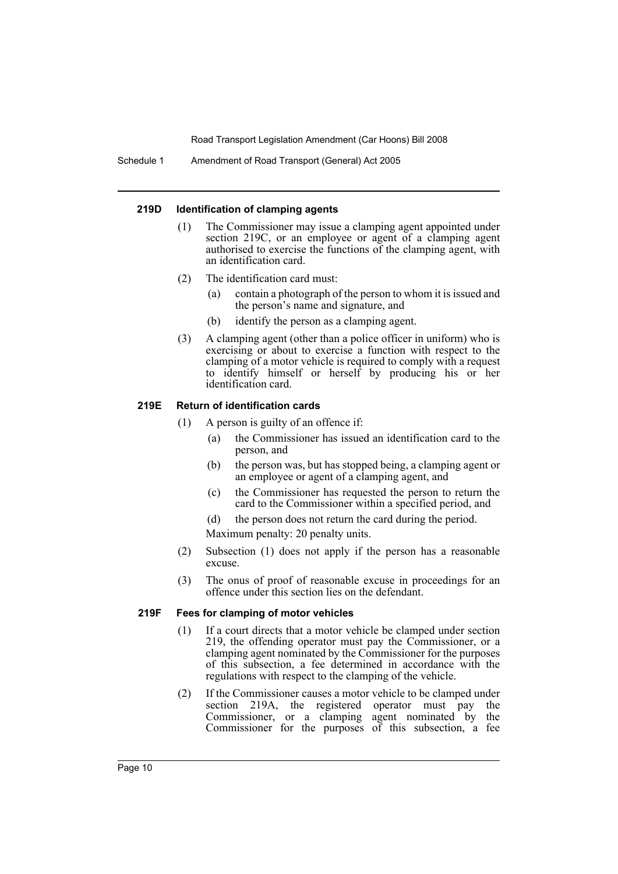Schedule 1 Amendment of Road Transport (General) Act 2005

#### **219D Identification of clamping agents**

- (1) The Commissioner may issue a clamping agent appointed under section 219C, or an employee or agent of a clamping agent authorised to exercise the functions of the clamping agent, with an identification card.
- (2) The identification card must:
	- (a) contain a photograph of the person to whom it is issued and the person's name and signature, and
	- (b) identify the person as a clamping agent.
- (3) A clamping agent (other than a police officer in uniform) who is exercising or about to exercise a function with respect to the clamping of a motor vehicle is required to comply with a request to identify himself or herself by producing his or her identification card.

# **219E Return of identification cards**

- (1) A person is guilty of an offence if:
	- (a) the Commissioner has issued an identification card to the person, and
	- (b) the person was, but has stopped being, a clamping agent or an employee or agent of a clamping agent, and
	- (c) the Commissioner has requested the person to return the card to the Commissioner within a specified period, and
	- (d) the person does not return the card during the period.

Maximum penalty: 20 penalty units.

- (2) Subsection (1) does not apply if the person has a reasonable excuse.
- (3) The onus of proof of reasonable excuse in proceedings for an offence under this section lies on the defendant.

#### **219F Fees for clamping of motor vehicles**

- (1) If a court directs that a motor vehicle be clamped under section 219, the offending operator must pay the Commissioner, or a clamping agent nominated by the Commissioner for the purposes of this subsection, a fee determined in accordance with the regulations with respect to the clamping of the vehicle.
- (2) If the Commissioner causes a motor vehicle to be clamped under section 219A, the registered operator must pay the Commissioner, or a clamping agent nominated by the Commissioner for the purposes of this subsection, a fee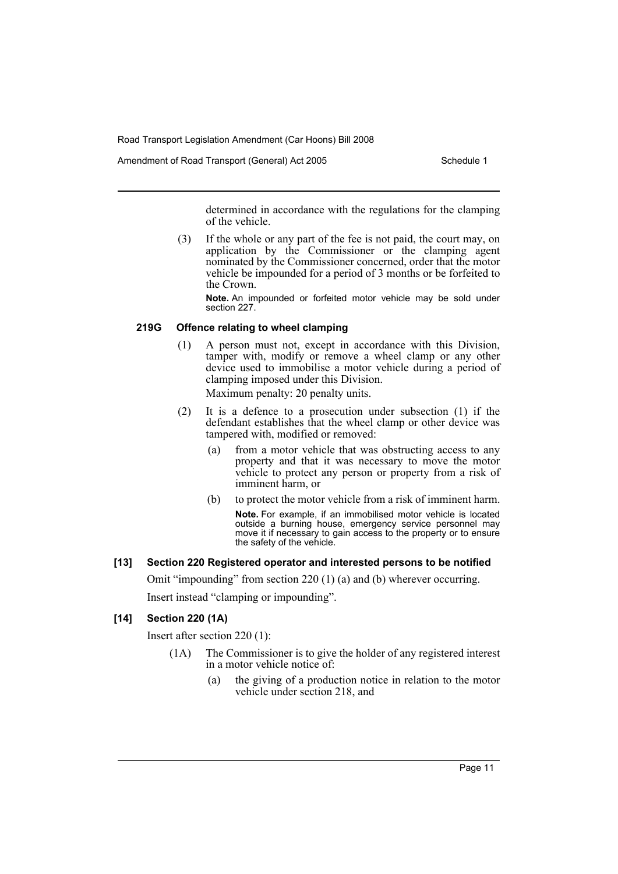Amendment of Road Transport (General) Act 2005 Schedule 1

determined in accordance with the regulations for the clamping of the vehicle.

(3) If the whole or any part of the fee is not paid, the court may, on application by the Commissioner or the clamping agent nominated by the Commissioner concerned, order that the motor vehicle be impounded for a period of 3 months or be forfeited to the Crown.

**Note.** An impounded or forfeited motor vehicle may be sold under section 227.

# **219G Offence relating to wheel clamping**

(1) A person must not, except in accordance with this Division, tamper with, modify or remove a wheel clamp or any other device used to immobilise a motor vehicle during a period of clamping imposed under this Division.

Maximum penalty: 20 penalty units.

- (2) It is a defence to a prosecution under subsection (1) if the defendant establishes that the wheel clamp or other device was tampered with, modified or removed:
	- (a) from a motor vehicle that was obstructing access to any property and that it was necessary to move the motor vehicle to protect any person or property from a risk of imminent harm, or
	- (b) to protect the motor vehicle from a risk of imminent harm. **Note.** For example, if an immobilised motor vehicle is located outside a burning house, emergency service personnel may move it if necessary to gain access to the property or to ensure the safety of the vehicle.

# **[13] Section 220 Registered operator and interested persons to be notified**

Omit "impounding" from section 220 (1) (a) and (b) wherever occurring.

Insert instead "clamping or impounding".

# **[14] Section 220 (1A)**

Insert after section 220 (1):

- (1A) The Commissioner is to give the holder of any registered interest in a motor vehicle notice of:
	- (a) the giving of a production notice in relation to the motor vehicle under section 218, and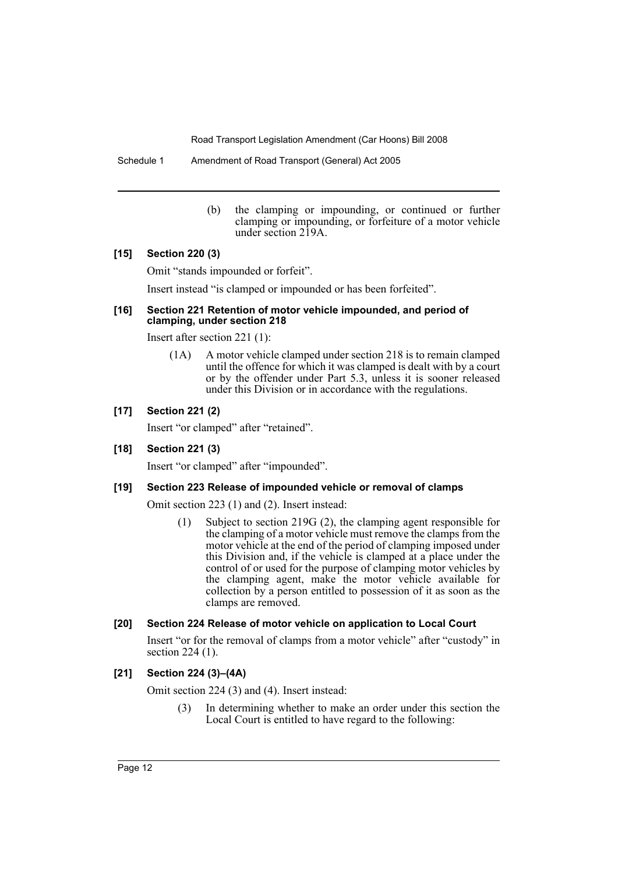Schedule 1 Amendment of Road Transport (General) Act 2005

(b) the clamping or impounding, or continued or further clamping or impounding, or forfeiture of a motor vehicle under section 219A.

# **[15] Section 220 (3)**

Omit "stands impounded or forfeit".

Insert instead "is clamped or impounded or has been forfeited".

#### **[16] Section 221 Retention of motor vehicle impounded, and period of clamping, under section 218**

Insert after section 221 (1):

(1A) A motor vehicle clamped under section 218 is to remain clamped until the offence for which it was clamped is dealt with by a court or by the offender under Part 5.3, unless it is sooner released under this Division or in accordance with the regulations.

# **[17] Section 221 (2)**

Insert "or clamped" after "retained".

# **[18] Section 221 (3)**

Insert "or clamped" after "impounded".

# **[19] Section 223 Release of impounded vehicle or removal of clamps**

Omit section 223 (1) and (2). Insert instead:

(1) Subject to section 219G (2), the clamping agent responsible for the clamping of a motor vehicle must remove the clamps from the motor vehicle at the end of the period of clamping imposed under this Division and, if the vehicle is clamped at a place under the control of or used for the purpose of clamping motor vehicles by the clamping agent, make the motor vehicle available for collection by a person entitled to possession of it as soon as the clamps are removed.

# **[20] Section 224 Release of motor vehicle on application to Local Court**

Insert "or for the removal of clamps from a motor vehicle" after "custody" in section 224 (1).

# **[21] Section 224 (3)–(4A)**

Omit section 224 (3) and (4). Insert instead:

(3) In determining whether to make an order under this section the Local Court is entitled to have regard to the following: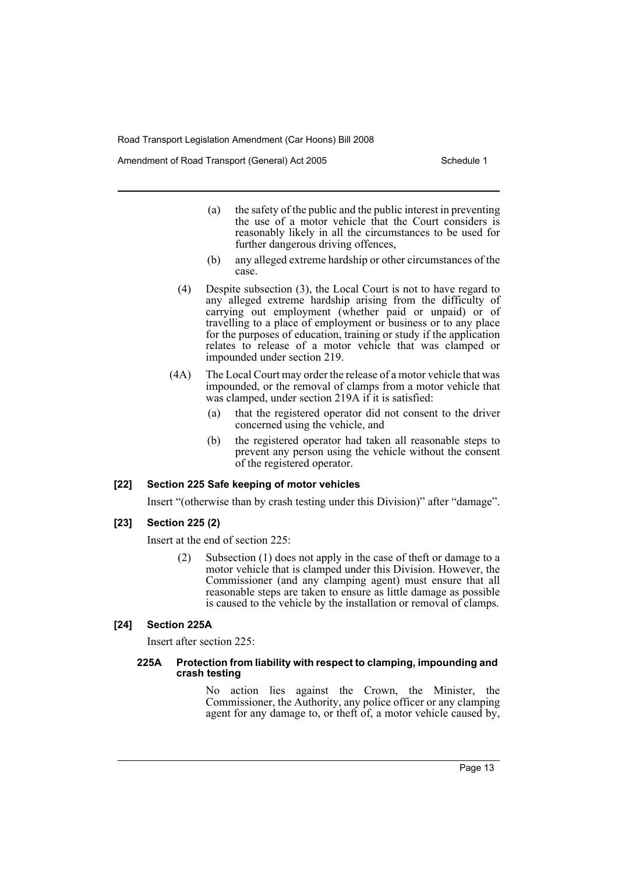Amendment of Road Transport (General) Act 2005 Schedule 1

- (a) the safety of the public and the public interest in preventing the use of a motor vehicle that the Court considers is reasonably likely in all the circumstances to be used for further dangerous driving offences,
- (b) any alleged extreme hardship or other circumstances of the case.
- (4) Despite subsection (3), the Local Court is not to have regard to any alleged extreme hardship arising from the difficulty of carrying out employment (whether paid or unpaid) or of travelling to a place of employment or business or to any place for the purposes of education, training or study if the application relates to release of a motor vehicle that was clamped or impounded under section 219.
- (4A) The Local Court may order the release of a motor vehicle that was impounded, or the removal of clamps from a motor vehicle that was clamped, under section 219A if it is satisfied:
	- (a) that the registered operator did not consent to the driver concerned using the vehicle, and
	- (b) the registered operator had taken all reasonable steps to prevent any person using the vehicle without the consent of the registered operator.

#### **[22] Section 225 Safe keeping of motor vehicles**

Insert "(otherwise than by crash testing under this Division)" after "damage".

**[23] Section 225 (2)**

Insert at the end of section 225:

(2) Subsection (1) does not apply in the case of theft or damage to a motor vehicle that is clamped under this Division. However, the Commissioner (and any clamping agent) must ensure that all reasonable steps are taken to ensure as little damage as possible is caused to the vehicle by the installation or removal of clamps.

# **[24] Section 225A**

Insert after section 225:

#### **225A Protection from liability with respect to clamping, impounding and crash testing**

No action lies against the Crown, the Minister, the Commissioner, the Authority, any police officer or any clamping agent for any damage to, or theft of, a motor vehicle caused by,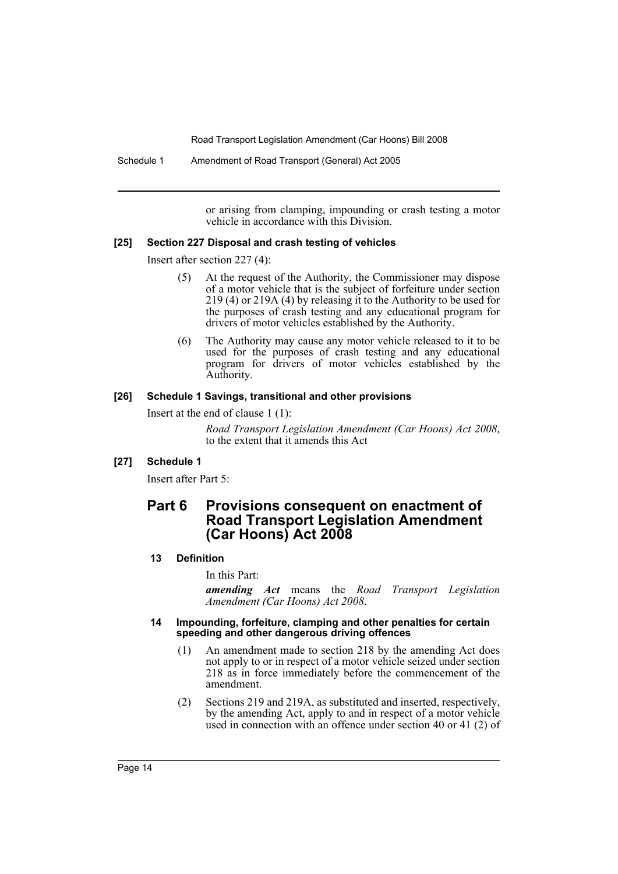Schedule 1 Amendment of Road Transport (General) Act 2005

or arising from clamping, impounding or crash testing a motor vehicle in accordance with this Division.

# **[25] Section 227 Disposal and crash testing of vehicles**

Insert after section 227 (4):

- (5) At the request of the Authority, the Commissioner may dispose of a motor vehicle that is the subject of forfeiture under section 219 (4) or 219A (4) by releasing it to the Authority to be used for the purposes of crash testing and any educational program for drivers of motor vehicles established by the Authority.
- (6) The Authority may cause any motor vehicle released to it to be used for the purposes of crash testing and any educational program for drivers of motor vehicles established by the Authority.

# **[26] Schedule 1 Savings, transitional and other provisions**

Insert at the end of clause 1 (1):

*Road Transport Legislation Amendment (Car Hoons) Act 2008*, to the extent that it amends this Act

# **[27] Schedule 1**

Insert after Part 5:

# **Part 6 Provisions consequent on enactment of Road Transport Legislation Amendment (Car Hoons) Act 2008**

#### **13 Definition**

In this Part:

*amending Act* means the *Road Transport Legislation Amendment (Car Hoons) Act 2008*.

#### **14 Impounding, forfeiture, clamping and other penalties for certain speeding and other dangerous driving offences**

- (1) An amendment made to section 218 by the amending Act does not apply to or in respect of a motor vehicle seized under section 218 as in force immediately before the commencement of the amendment.
- (2) Sections 219 and 219A, as substituted and inserted, respectively, by the amending Act, apply to and in respect of a motor vehicle used in connection with an offence under section 40 or 41 (2) of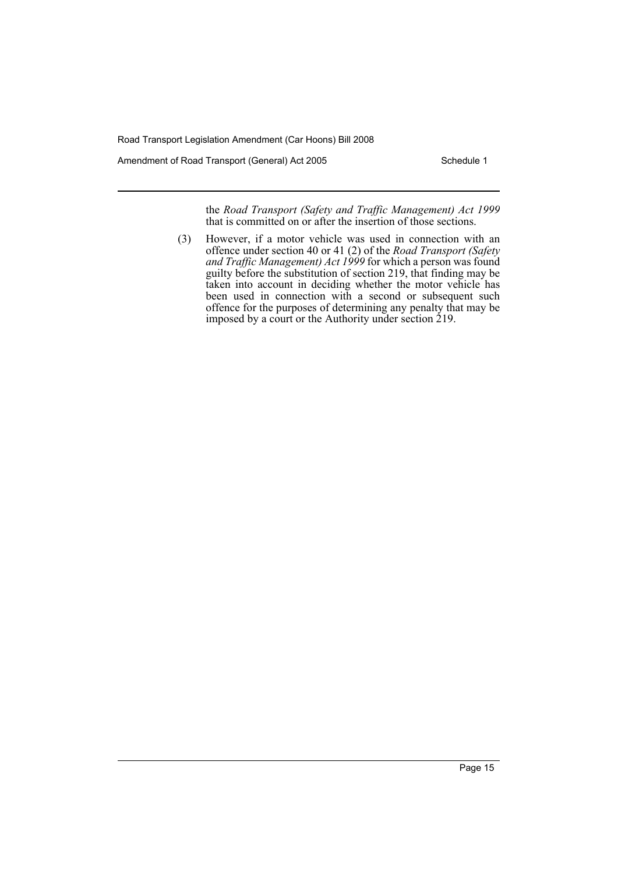Amendment of Road Transport (General) Act 2005 Schedule 1

the *Road Transport (Safety and Traffic Management) Act 1999* that is committed on or after the insertion of those sections.

(3) However, if a motor vehicle was used in connection with an offence under section 40 or 41 (2) of the *Road Transport (Safety and Traffic Management) Act 1999* for which a person was found guilty before the substitution of section 219, that finding may be taken into account in deciding whether the motor vehicle has been used in connection with a second or subsequent such offence for the purposes of determining any penalty that may be imposed by a court or the Authority under section 219.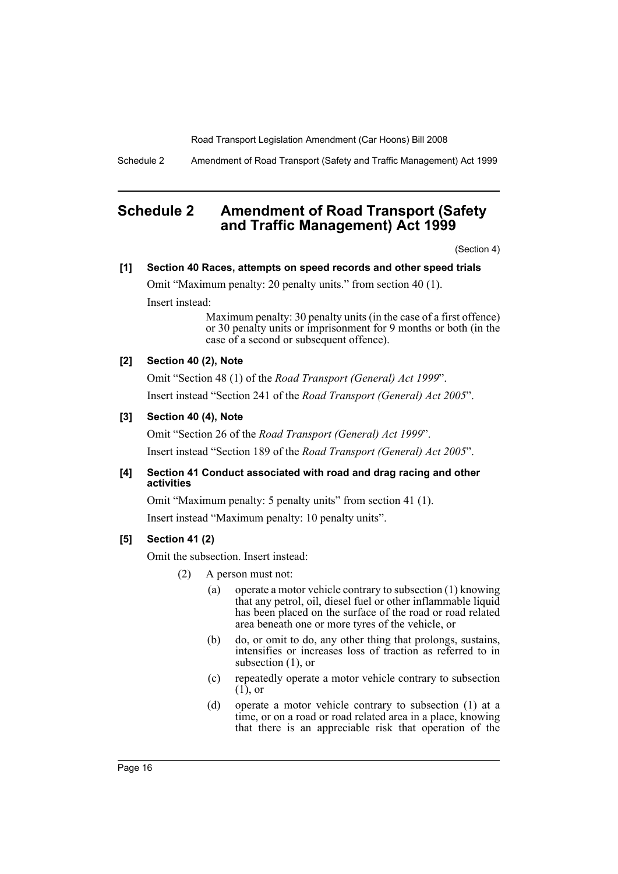Schedule 2 Amendment of Road Transport (Safety and Traffic Management) Act 1999

# <span id="page-16-0"></span>**Schedule 2 Amendment of Road Transport (Safety and Traffic Management) Act 1999**

(Section 4)

# **[1] Section 40 Races, attempts on speed records and other speed trials**

Omit "Maximum penalty: 20 penalty units." from section 40 (1).

Insert instead:

Maximum penalty: 30 penalty units (in the case of a first offence) or 30 penalty units or imprisonment for 9 months or both (in the case of a second or subsequent offence).

# **[2] Section 40 (2), Note**

Omit "Section 48 (1) of the *Road Transport (General) Act 1999*". Insert instead "Section 241 of the *Road Transport (General) Act 2005*".

# **[3] Section 40 (4), Note**

Omit "Section 26 of the *Road Transport (General) Act 1999*". Insert instead "Section 189 of the *Road Transport (General) Act 2005*".

# **[4] Section 41 Conduct associated with road and drag racing and other activities**

Omit "Maximum penalty: 5 penalty units" from section 41 (1).

Insert instead "Maximum penalty: 10 penalty units".

# **[5] Section 41 (2)**

Omit the subsection. Insert instead:

- (2) A person must not:
	- (a) operate a motor vehicle contrary to subsection (1) knowing that any petrol, oil, diesel fuel or other inflammable liquid has been placed on the surface of the road or road related area beneath one or more tyres of the vehicle, or
	- (b) do, or omit to do, any other thing that prolongs, sustains, intensifies or increases loss of traction as referred to in subsection (1), or
	- (c) repeatedly operate a motor vehicle contrary to subsection (1), or
	- (d) operate a motor vehicle contrary to subsection (1) at a time, or on a road or road related area in a place, knowing that there is an appreciable risk that operation of the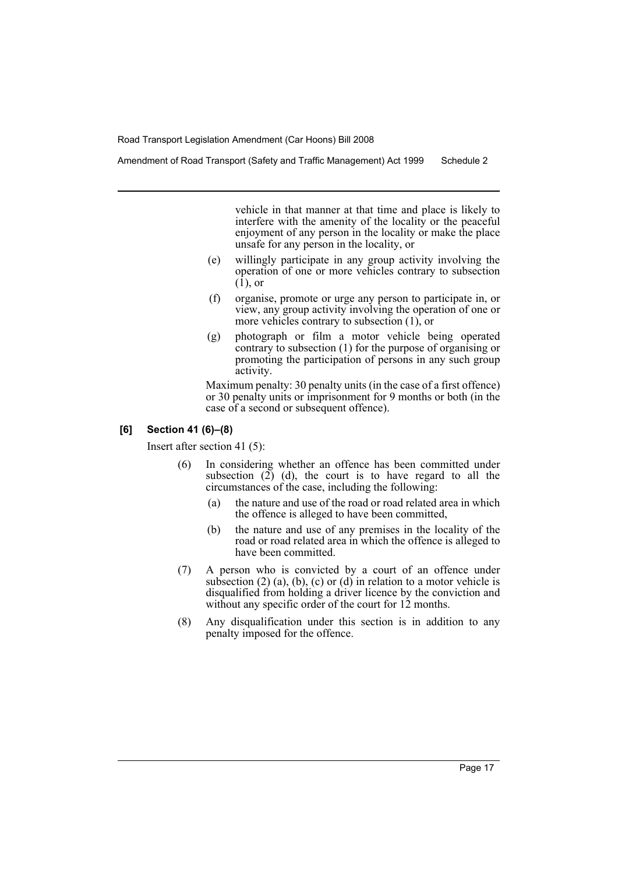vehicle in that manner at that time and place is likely to interfere with the amenity of the locality or the peaceful enjoyment of any person in the locality or make the place unsafe for any person in the locality, or

- (e) willingly participate in any group activity involving the operation of one or more vehicles contrary to subsection (1), or
- (f) organise, promote or urge any person to participate in, or view, any group activity involving the operation of one or more vehicles contrary to subsection (1), or
- (g) photograph or film a motor vehicle being operated contrary to subsection (1) for the purpose of organising or promoting the participation of persons in any such group activity.

Maximum penalty: 30 penalty units (in the case of a first offence) or 30 penalty units or imprisonment for 9 months or both (in the case of a second or subsequent offence).

#### **[6] Section 41 (6)–(8)**

Insert after section 41 (5):

- (6) In considering whether an offence has been committed under subsection  $(2)$  (d), the court is to have regard to all the circumstances of the case, including the following:
	- (a) the nature and use of the road or road related area in which the offence is alleged to have been committed,
	- (b) the nature and use of any premises in the locality of the road or road related area in which the offence is alleged to have been committed.
- (7) A person who is convicted by a court of an offence under subsection  $(2)$   $(a)$ ,  $(b)$ ,  $(c)$  or  $(d)$  in relation to a motor vehicle is disqualified from holding a driver licence by the conviction and without any specific order of the court for 12 months.
- (8) Any disqualification under this section is in addition to any penalty imposed for the offence.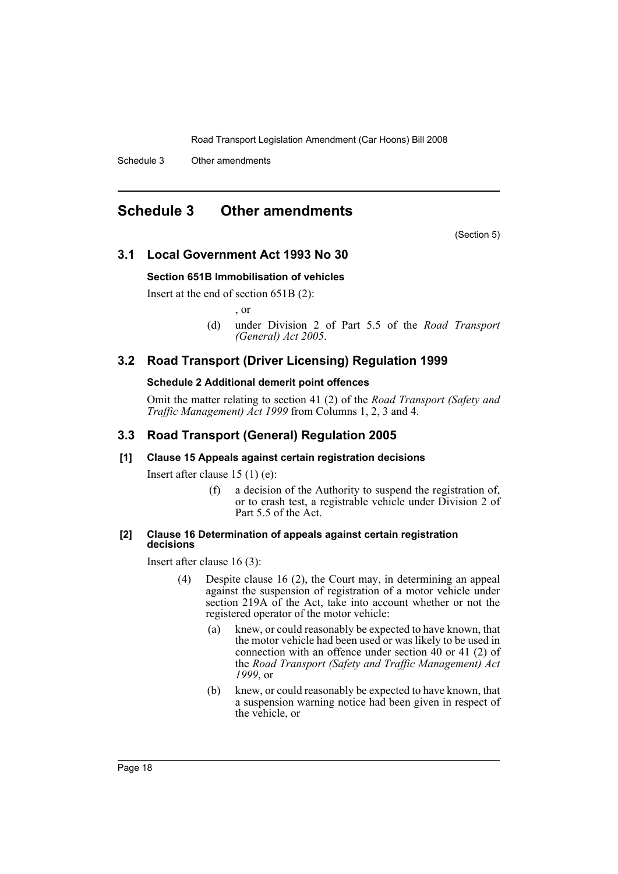Schedule 3 Other amendments

# <span id="page-18-0"></span>**Schedule 3 Other amendments**

(Section 5)

# **3.1 Local Government Act 1993 No 30**

#### **Section 651B Immobilisation of vehicles**

Insert at the end of section 651B (2):

, or

(d) under Division 2 of Part 5.5 of the *Road Transport (General) Act 2005*.

# **3.2 Road Transport (Driver Licensing) Regulation 1999**

# **Schedule 2 Additional demerit point offences**

Omit the matter relating to section 41 (2) of the *Road Transport (Safety and Traffic Management) Act 1999* from Columns 1, 2, 3 and 4.

# **3.3 Road Transport (General) Regulation 2005**

#### **[1] Clause 15 Appeals against certain registration decisions**

Insert after clause 15 (1) (e):

(f) a decision of the Authority to suspend the registration of, or to crash test, a registrable vehicle under Division 2 of Part 5.5 of the Act.

#### **[2] Clause 16 Determination of appeals against certain registration decisions**

Insert after clause 16 (3):

- (4) Despite clause 16 (2), the Court may, in determining an appeal against the suspension of registration of a motor vehicle under section 219A of the Act, take into account whether or not the registered operator of the motor vehicle:
	- (a) knew, or could reasonably be expected to have known, that the motor vehicle had been used or was likely to be used in connection with an offence under section 40 or 41 (2) of the *Road Transport (Safety and Traffic Management) Act 1999*, or
	- (b) knew, or could reasonably be expected to have known, that a suspension warning notice had been given in respect of the vehicle, or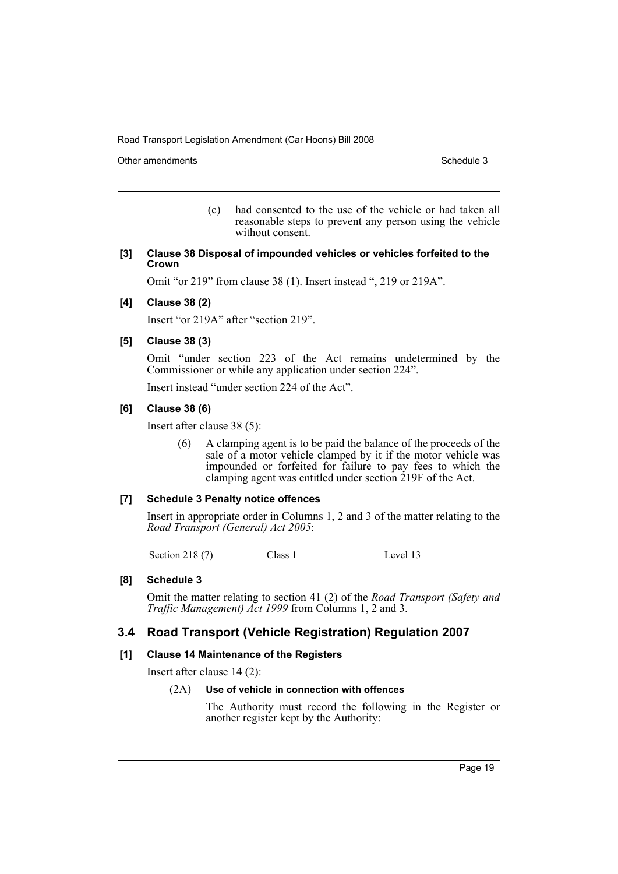Other amendments **Schedule 3** Schedule 3

(c) had consented to the use of the vehicle or had taken all reasonable steps to prevent any person using the vehicle without consent.

#### **[3] Clause 38 Disposal of impounded vehicles or vehicles forfeited to the Crown**

Omit "or 219" from clause 38 (1). Insert instead ", 219 or 219A".

# **[4] Clause 38 (2)**

Insert "or 219A" after "section 219".

# **[5] Clause 38 (3)**

Omit "under section 223 of the Act remains undetermined by the Commissioner or while any application under section 224".

Insert instead "under section 224 of the Act".

# **[6] Clause 38 (6)**

Insert after clause 38 (5):

(6) A clamping agent is to be paid the balance of the proceeds of the sale of a motor vehicle clamped by it if the motor vehicle was impounded or forfeited for failure to pay fees to which the clamping agent was entitled under section 219F of the Act.

#### **[7] Schedule 3 Penalty notice offences**

Insert in appropriate order in Columns 1, 2 and 3 of the matter relating to the *Road Transport (General) Act 2005*:

Section 218 (7) Class 1 Level 13

# **[8] Schedule 3**

Omit the matter relating to section 41 (2) of the *Road Transport (Safety and Traffic Management) Act 1999* from Columns 1, 2 and 3.

# **3.4 Road Transport (Vehicle Registration) Regulation 2007**

#### **[1] Clause 14 Maintenance of the Registers**

Insert after clause 14 (2):

#### (2A) **Use of vehicle in connection with offences**

The Authority must record the following in the Register or another register kept by the Authority: